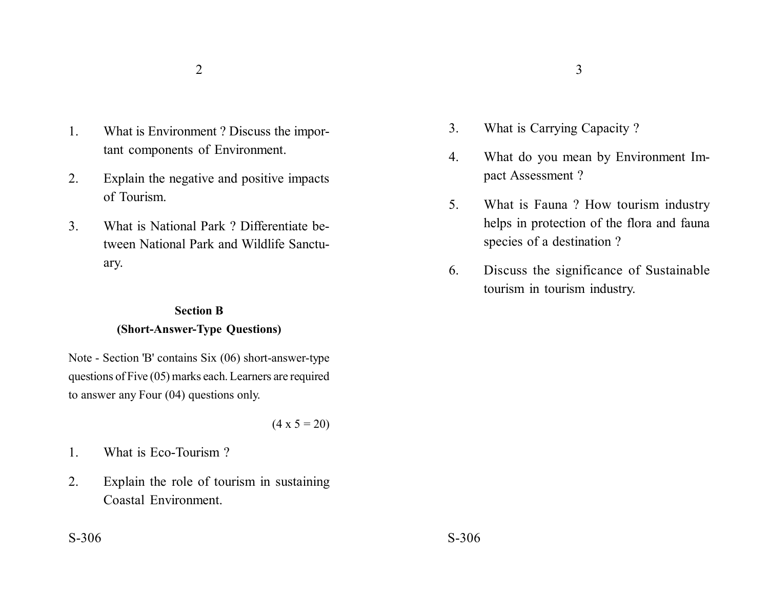- 1. What is Environment ? Discuss the important components of Environment.
- 2. Explain the negative and positive impacts of Tourism.
- 3. What is National Park ? Differentiate between National Park and Wildlife Sanctuary.

## **Section B (Short-Answer-Type Questions)**

Note - Section 'B' contains Six (06) short-answer-type questions of Five (05) marks each. Learners are required to answer any Four (04) questions only.

 $(4 \times 5 = 20)$ 

- 1. What is Eco-Tourism ?
- 2. Explain the role of tourism in sustaining Coastal Environment.
- 3. What is Carrying Capacity ?
- 4. What do you mean by Environment Impact Assessment ?
- 5. What is Fauna ? How tourism industry helps in protection of the flora and fauna species of a destination ?
- 6. Discuss the significance of Sustainable tourism in tourism industry.